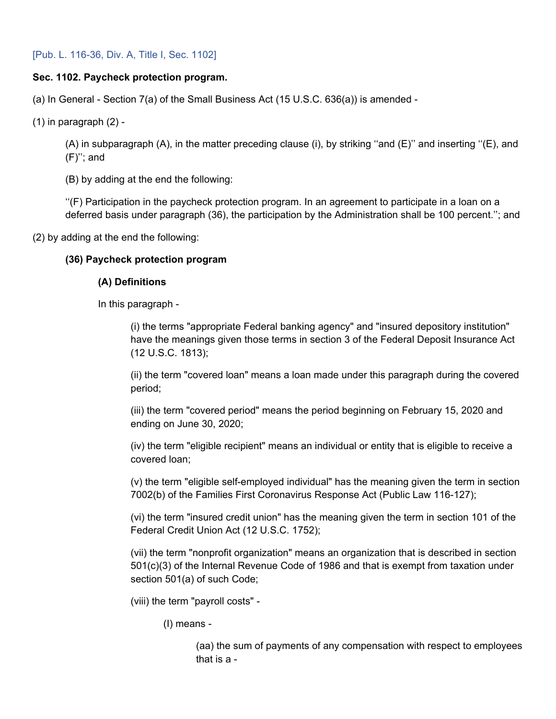# **Sec. 1102. Paycheck protection program.**

(a) In General - Section 7(a) of the Small Business Act (15 U.S.C. 636(a)) is amended -

 $(1)$  in paragraph  $(2)$  -

(A) in subparagraph (A), in the matter preceding clause (i), by striking ''and (E)'' and inserting ''(E), and (F)''; and

(B) by adding at the end the following:

''(F) Participation in the paycheck protection program. In an agreement to participate in a loan on a deferred basis under paragraph (36), the participation by the Administration shall be 100 percent.''; and

(2) by adding at the end the following:

# **(36) Paycheck protection program**

# **(A) Definitions**

In this paragraph -

(i) the terms "appropriate Federal banking agency" and "insured depository institution" have the meanings given those terms in section 3 of the Federal Deposit Insurance Act (12 U.S.C. 1813);

(ii) the term "covered loan" means a loan made under this paragraph during the covered period;

(iii) the term "covered period" means the period beginning on February 15, 2020 and ending on June 30, 2020;

(iv) the term "eligible recipient" means an individual or entity that is eligible to receive a covered loan;

(v) the term "eligible self-employed individual" has the meaning given the term in section 7002(b) of the Families First Coronavirus Response Act (Public Law 116-127);

(vi) the term "insured credit union" has the meaning given the term in section 101 of the Federal Credit Union Act (12 U.S.C. 1752);

(vii) the term "nonprofit organization" means an organization that is described in section 501(c)(3) of the Internal Revenue Code of 1986 and that is exempt from taxation under section 501(a) of such Code;

(viii) the term "payroll costs" -

(I) means -

(aa) the sum of payments of any compensation with respect to employees that is a -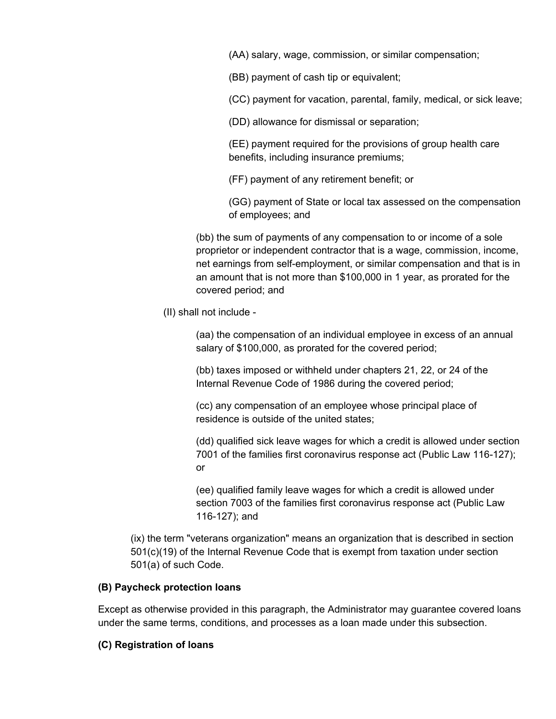(AA) salary, wage, commission, or similar compensation;

(BB) payment of cash tip or equivalent;

(CC) payment for vacation, parental, family, medical, or sick leave;

(DD) allowance for dismissal or separation;

(EE) payment required for the provisions of group health care benefits, including insurance premiums;

(FF) payment of any retirement benefit; or

(GG) payment of State or local tax assessed on the compensation of employees; and

(bb) the sum of payments of any compensation to or income of a sole proprietor or independent contractor that is a wage, commission, income, net earnings from self-employment, or similar compensation and that is in an amount that is not more than \$100,000 in 1 year, as prorated for the covered period; and

(II) shall not include -

(aa) the compensation of an individual employee in excess of an annual salary of \$100,000, as prorated for the covered period;

(bb) taxes imposed or withheld under chapters 21, 22, or 24 of the Internal Revenue Code of 1986 during the covered period;

(cc) any compensation of an employee whose principal place of residence is outside of the united states;

(dd) qualified sick leave wages for which a credit is allowed under section 7001 of the families first coronavirus response act (Public Law 116-127); or

(ee) qualified family leave wages for which a credit is allowed under section 7003 of the families first coronavirus response act (Public Law 116-127); and

(ix) the term "veterans organization" means an organization that is described in section 501(c)(19) of the Internal Revenue Code that is exempt from taxation under section 501(a) of such Code.

# **(B) Paycheck protection loans**

Except as otherwise provided in this paragraph, the Administrator may guarantee covered loans under the same terms, conditions, and processes as a loan made under this subsection.

# **(C) Registration of loans**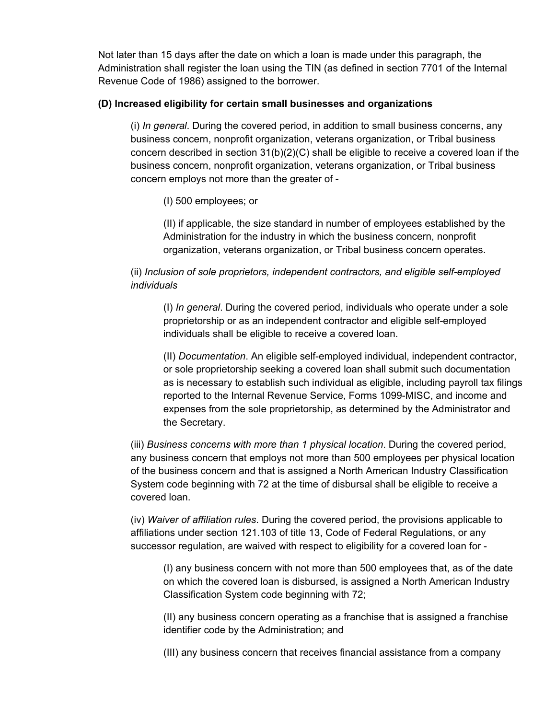Not later than 15 days after the date on which a loan is made under this paragraph, the Administration shall register the loan using the TIN (as defined in section 7701 of the Internal Revenue Code of 1986) assigned to the borrower.

### **(D) Increased eligibility for certain small businesses and organizations**

(i) *In general*. During the covered period, in addition to small business concerns, any business concern, nonprofit organization, veterans organization, or Tribal business concern described in section 31(b)(2)(C) shall be eligible to receive a covered loan if the business concern, nonprofit organization, veterans organization, or Tribal business concern employs not more than the greater of -

(I) 500 employees; or

(II) if applicable, the size standard in number of employees established by the Administration for the industry in which the business concern, nonprofit organization, veterans organization, or Tribal business concern operates.

(ii) *Inclusion of sole proprietors, independent contractors, and eligible self-employed individuals*

(I) *In general*. During the covered period, individuals who operate under a sole proprietorship or as an independent contractor and eligible self-employed individuals shall be eligible to receive a covered loan.

(II) *Documentation*. An eligible self-employed individual, independent contractor, or sole proprietorship seeking a covered loan shall submit such documentation as is necessary to establish such individual as eligible, including payroll tax filings reported to the Internal Revenue Service, Forms 1099-MISC, and income and expenses from the sole proprietorship, as determined by the Administrator and the Secretary.

(iii) *Business concerns with more than 1 physical location*. During the covered period, any business concern that employs not more than 500 employees per physical location of the business concern and that is assigned a North American Industry Classification System code beginning with 72 at the time of disbursal shall be eligible to receive a covered loan.

(iv) *Waiver of affiliation rules*. During the covered period, the provisions applicable to affiliations under section 121.103 of title 13, Code of Federal Regulations, or any successor regulation, are waived with respect to eligibility for a covered loan for -

(I) any business concern with not more than 500 employees that, as of the date on which the covered loan is disbursed, is assigned a North American Industry Classification System code beginning with 72;

(II) any business concern operating as a franchise that is assigned a franchise identifier code by the Administration; and

(III) any business concern that receives financial assistance from a company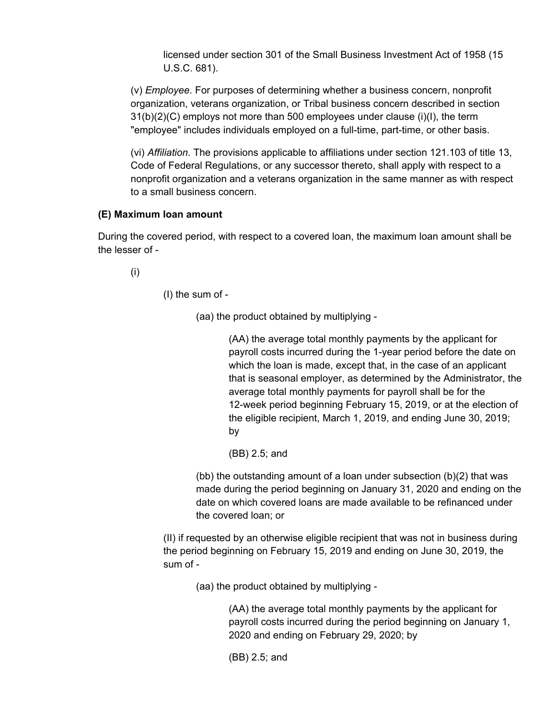licensed under section 301 of the Small Business Investment Act of 1958 (15 U.S.C. 681).

(v) *Employee*. For purposes of determining whether a business concern, nonprofit organization, veterans organization, or Tribal business concern described in section  $31(b)(2)(C)$  employs not more than 500 employees under clause (i)(I), the term "employee" includes individuals employed on a full-time, part-time, or other basis.

(vi) *Affiliation*. The provisions applicable to affiliations under section 121.103 of title 13, Code of Federal Regulations, or any successor thereto, shall apply with respect to a nonprofit organization and a veterans organization in the same manner as with respect to a small business concern.

### **(E) Maximum loan amount**

During the covered period, with respect to a covered loan, the maximum loan amount shall be the lesser of -

(i)

(I) the sum of -

(aa) the product obtained by multiplying -

(AA) the average total monthly payments by the applicant for payroll costs incurred during the 1-year period before the date on which the loan is made, except that, in the case of an applicant that is seasonal employer, as determined by the Administrator, the average total monthly payments for payroll shall be for the 12-week period beginning February 15, 2019, or at the election of the eligible recipient, March 1, 2019, and ending June 30, 2019; by

(BB) 2.5; and

(bb) the outstanding amount of a loan under subsection (b)(2) that was made during the period beginning on January 31, 2020 and ending on the date on which covered loans are made available to be refinanced under the covered loan; or

(II) if requested by an otherwise eligible recipient that was not in business during the period beginning on February 15, 2019 and ending on June 30, 2019, the sum of -

(aa) the product obtained by multiplying -

(AA) the average total monthly payments by the applicant for payroll costs incurred during the period beginning on January 1, 2020 and ending on February 29, 2020; by

(BB) 2.5; and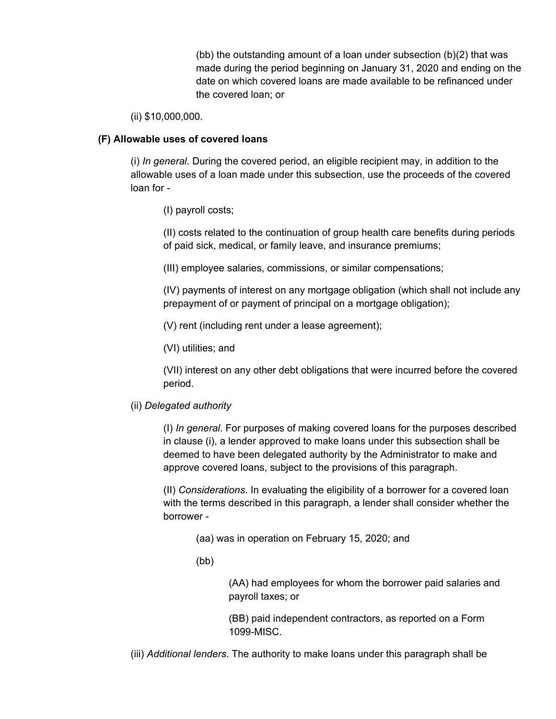(bb) the outstanding amount of a loan under subsection (b)(2) that was made during the period beginning on January 31, 2020 and ending on the date on which covered loans are made available to be refinanced under the covered loan; or

(ii) \$10,000,000.

# **(F) Allowable uses of covered loans**

(i) *In general*. During the covered period, an eligible recipient may, in addition to the allowable uses of a loan made under this subsection, use the proceeds of the covered loan for -

(I) payroll costs;

(II) costs related to the continuation of group health care benefits during periods of paid sick, medical, or family leave, and insurance premiums;

(III) employee salaries, commissions, or similar compensations;

(IV) payments of interest on any mortgage obligation (which shall not include any prepayment of or payment of principal on a mortgage obligation);

(V) rent (including rent under a lease agreement);

(VI) utilities; and

(VII) interest on any other debt obligations that were incurred before the covered period.

### (ii) *Delegated authority*

(I) *In general*. For purposes of making covered loans for the purposes described in clause (i), a lender approved to make loans under this subsection shall be deemed to have been delegated authority by the Administrator to make and approve covered loans, subject to the provisions of this paragraph.

(II) *Considerations*. In evaluating the eligibility of a borrower for a covered loan with the terms described in this paragraph, a lender shall consider whether the borrower -

(aa) was in operation on February 15, 2020; and

(bb)

(AA) had employees for whom the borrower paid salaries and payroll taxes; or

(BB) paid independent contractors, as reported on a Form 1099-MISC.

(iii) *Additional lenders*. The authority to make loans under this paragraph shall be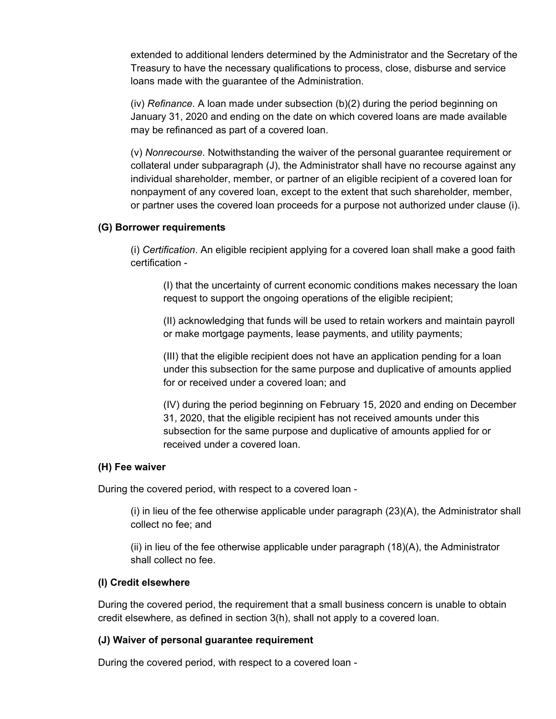extended to additional lenders determined by the Administrator and the Secretary of the Treasury to have the necessary qualifications to process, close, disburse and service loans made with the guarantee of the Administration.

(iv) *Refinance*. A loan made under subsection (b)(2) during the period beginning on January 31, 2020 and ending on the date on which covered loans are made available may be refinanced as part of a covered loan.

(v) *Nonrecourse*. Notwithstanding the waiver of the personal guarantee requirement or collateral under subparagraph (J), the Administrator shall have no recourse against any individual shareholder, member, or partner of an eligible recipient of a covered loan for nonpayment of any covered loan, except to the extent that such shareholder, member, or partner uses the covered loan proceeds for a purpose not authorized under clause (i).

### **(G) Borrower requirements**

(i) *Certification*. An eligible recipient applying for a covered loan shall make a good faith certification -

(I) that the uncertainty of current economic conditions makes necessary the loan request to support the ongoing operations of the eligible recipient;

(II) acknowledging that funds will be used to retain workers and maintain payroll or make mortgage payments, lease payments, and utility payments;

(III) that the eligible recipient does not have an application pending for a loan under this subsection for the same purpose and duplicative of amounts applied for or received under a covered loan; and

(IV) during the period beginning on February 15, 2020 and ending on December 31, 2020, that the eligible recipient has not received amounts under this subsection for the same purpose and duplicative of amounts applied for or received under a covered loan.

#### **(H) Fee waiver**

During the covered period, with respect to a covered loan -

(i) in lieu of the fee otherwise applicable under paragraph (23)(A), the Administrator shall collect no fee; and

(ii) in lieu of the fee otherwise applicable under paragraph (18)(A), the Administrator shall collect no fee.

#### **(I) Credit elsewhere**

During the covered period, the requirement that a small business concern is unable to obtain credit elsewhere, as defined in section 3(h), shall not apply to a covered loan.

#### **(J) Waiver of personal guarantee requirement**

During the covered period, with respect to a covered loan -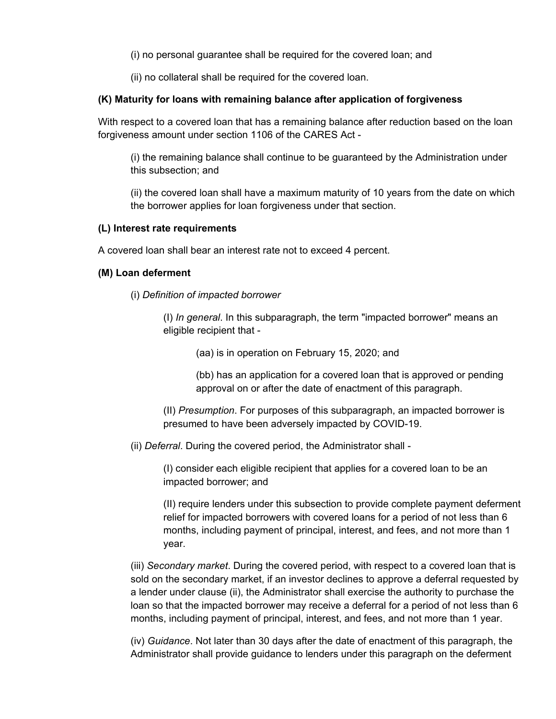(i) no personal guarantee shall be required for the covered loan; and

(ii) no collateral shall be required for the covered loan.

# **(K) Maturity for loans with remaining balance after application of forgiveness**

With respect to a covered loan that has a remaining balance after reduction based on the loan forgiveness amount under section 1106 of the CARES Act -

(i) the remaining balance shall continue to be guaranteed by the Administration under this subsection; and

(ii) the covered loan shall have a maximum maturity of 10 years from the date on which the borrower applies for loan forgiveness under that section.

# **(L) Interest rate requirements**

A covered loan shall bear an interest rate not to exceed 4 percent.

# **(M) Loan deferment**

(i) *Definition of impacted borrower*

(I) *In general*. In this subparagraph, the term "impacted borrower" means an eligible recipient that -

(aa) is in operation on February 15, 2020; and

(bb) has an application for a covered loan that is approved or pending approval on or after the date of enactment of this paragraph.

(II) *Presumption*. For purposes of this subparagraph, an impacted borrower is presumed to have been adversely impacted by COVID-19.

(ii) *Deferral*. During the covered period, the Administrator shall -

(I) consider each eligible recipient that applies for a covered loan to be an impacted borrower; and

(II) require lenders under this subsection to provide complete payment deferment relief for impacted borrowers with covered loans for a period of not less than 6 months, including payment of principal, interest, and fees, and not more than 1 year.

(iii) *Secondary market*. During the covered period, with respect to a covered loan that is sold on the secondary market, if an investor declines to approve a deferral requested by a lender under clause (ii), the Administrator shall exercise the authority to purchase the loan so that the impacted borrower may receive a deferral for a period of not less than 6 months, including payment of principal, interest, and fees, and not more than 1 year.

(iv) *Guidance*. Not later than 30 days after the date of enactment of this paragraph, the Administrator shall provide guidance to lenders under this paragraph on the deferment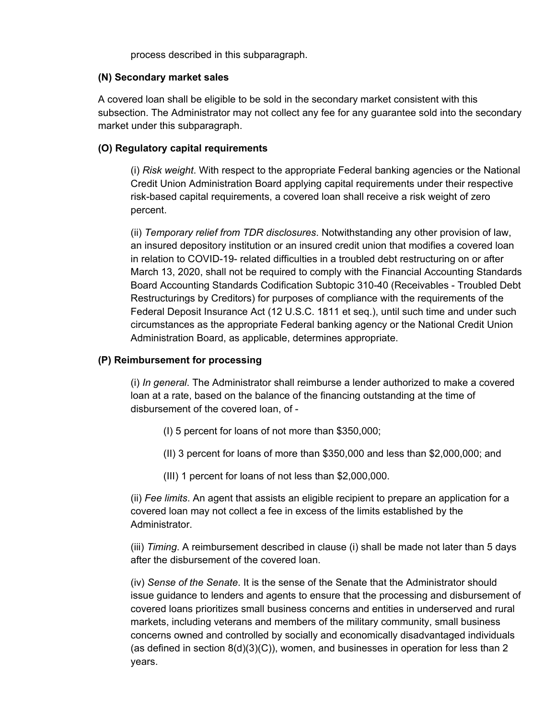process described in this subparagraph.

### **(N) Secondary market sales**

A covered loan shall be eligible to be sold in the secondary market consistent with this subsection. The Administrator may not collect any fee for any guarantee sold into the secondary market under this subparagraph.

# **(O) Regulatory capital requirements**

(i) *Risk weight*. With respect to the appropriate Federal banking agencies or the National Credit Union Administration Board applying capital requirements under their respective risk-based capital requirements, a covered loan shall receive a risk weight of zero percent.

(ii) *Temporary relief from TDR disclosures*. Notwithstanding any other provision of law, an insured depository institution or an insured credit union that modifies a covered loan in relation to COVID-19- related difficulties in a troubled debt restructuring on or after March 13, 2020, shall not be required to comply with the Financial Accounting Standards Board Accounting Standards Codification Subtopic 310-40 (Receivables - Troubled Debt Restructurings by Creditors) for purposes of compliance with the requirements of the Federal Deposit Insurance Act (12 U.S.C. 1811 et seq.), until such time and under such circumstances as the appropriate Federal banking agency or the National Credit Union Administration Board, as applicable, determines appropriate.

### **(P) Reimbursement for processing**

(i) *In general*. The Administrator shall reimburse a lender authorized to make a covered loan at a rate, based on the balance of the financing outstanding at the time of disbursement of the covered loan, of -

- (I) 5 percent for loans of not more than \$350,000;
- (II) 3 percent for loans of more than \$350,000 and less than \$2,000,000; and
- (III) 1 percent for loans of not less than \$2,000,000.

(ii) *Fee limits*. An agent that assists an eligible recipient to prepare an application for a covered loan may not collect a fee in excess of the limits established by the Administrator.

(iii) *Timing*. A reimbursement described in clause (i) shall be made not later than 5 days after the disbursement of the covered loan.

(iv) *Sense of the Senate*. It is the sense of the Senate that the Administrator should issue guidance to lenders and agents to ensure that the processing and disbursement of covered loans prioritizes small business concerns and entities in underserved and rural markets, including veterans and members of the military community, small business concerns owned and controlled by socially and economically disadvantaged individuals (as defined in section  $8(d)(3)(C)$ ), women, and businesses in operation for less than 2 years.